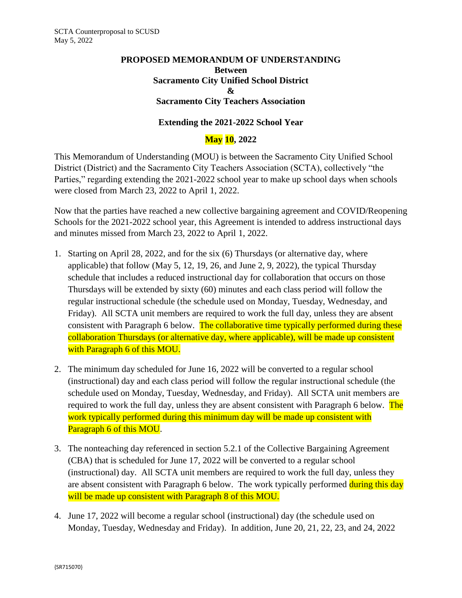## **PROPOSED MEMORANDUM OF UNDERSTANDING Between Sacramento City Unified School District & Sacramento City Teachers Association**

## **Extending the 2021-2022 School Year**

## **May 10, 2022**

This Memorandum of Understanding (MOU) is between the Sacramento City Unified School District (District) and the Sacramento City Teachers Association (SCTA), collectively "the Parties," regarding extending the 2021-2022 school year to make up school days when schools were closed from March 23, 2022 to April 1, 2022.

Now that the parties have reached a new collective bargaining agreement and COVID/Reopening Schools for the 2021-2022 school year, this Agreement is intended to address instructional days and minutes missed from March 23, 2022 to April 1, 2022.

- 1. Starting on April 28, 2022, and for the six (6) Thursdays (or alternative day, where applicable) that follow (May 5, 12, 19, 26, and June 2, 9, 2022), the typical Thursday schedule that includes a reduced instructional day for collaboration that occurs on those Thursdays will be extended by sixty (60) minutes and each class period will follow the regular instructional schedule (the schedule used on Monday, Tuesday, Wednesday, and Friday). All SCTA unit members are required to work the full day, unless they are absent consistent with Paragraph 6 below. The collaborative time typically performed during these collaboration Thursdays (or alternative day, where applicable), will be made up consistent with Paragraph 6 of this MOU.
- 2. The minimum day scheduled for June 16, 2022 will be converted to a regular school (instructional) day and each class period will follow the regular instructional schedule (the schedule used on Monday, Tuesday, Wednesday, and Friday). All SCTA unit members are required to work the full day, unless they are absent consistent with Paragraph 6 below. The work typically performed during this minimum day will be made up consistent with Paragraph 6 of this MOU.
- 3. The nonteaching day referenced in section 5.2.1 of the Collective Bargaining Agreement (CBA) that is scheduled for June 17, 2022 will be converted to a regular school (instructional) day. All SCTA unit members are required to work the full day, unless they are absent consistent with Paragraph 6 below. The work typically performed during this day will be made up consistent with Paragraph 8 of this MOU.
- 4. June 17, 2022 will become a regular school (instructional) day (the schedule used on Monday, Tuesday, Wednesday and Friday). In addition, June 20, 21, 22, 23, and 24, 2022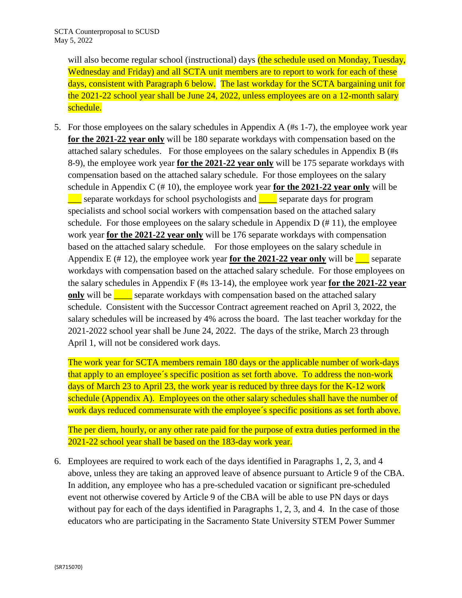will also become regular school (instructional) days (the schedule used on Monday, Tuesday, Wednesday and Friday) and all SCTA unit members are to report to work for each of these days, consistent with Paragraph 6 below. The last workday for the SCTA bargaining unit for the 2021-22 school year shall be June 24, 2022, unless employees are on a 12-month salary schedule.

5. For those employees on the salary schedules in Appendix A (#s 1-7), the employee work year **for the 2021-22 year only** will be 180 separate workdays with compensation based on the attached salary schedules. For those employees on the salary schedules in Appendix B (#s 8-9), the employee work year **for the 2021-22 year only** will be 175 separate workdays with compensation based on the attached salary schedule. For those employees on the salary schedule in Appendix C (# 10), the employee work year **for the 2021-22 year only** will be separate workdays for school psychologists and  $\Box$  separate days for program specialists and school social workers with compensation based on the attached salary schedule. For those employees on the salary schedule in Appendix  $D \left( \frac{\mu}{2} 11 \right)$ , the employee work year **for the 2021-22 year only** will be 176 separate workdays with compensation based on the attached salary schedule. For those employees on the salary schedule in Appendix E (# 12), the employee work year **for the 2021-22 year only** will be  $\blacksquare$  separate workdays with compensation based on the attached salary schedule. For those employees on the salary schedules in Appendix F (#s 13-14), the employee work year **for the 2021-22 year only** will be separate workdays with compensation based on the attached salary schedule. Consistent with the Successor Contract agreement reached on April 3, 2022, the salary schedules will be increased by 4% across the board. The last teacher workday for the 2021-2022 school year shall be June 24, 2022. The days of the strike, March 23 through April 1, will not be considered work days.

The work year for SCTA members remain 180 days or the applicable number of work-days that apply to an employee´s specific position as set forth above. To address the non-work days of March 23 to April 23, the work year is reduced by three days for the K-12 work schedule (Appendix A). Employees on the other salary schedules shall have the number of work days reduced commensurate with the employee's specific positions as set forth above.

The per diem, hourly, or any other rate paid for the purpose of extra duties performed in the 2021-22 school year shall be based on the 183-day work year.

6. Employees are required to work each of the days identified in Paragraphs 1, 2, 3, and 4 above, unless they are taking an approved leave of absence pursuant to Article 9 of the CBA. In addition, any employee who has a pre-scheduled vacation or significant pre-scheduled event not otherwise covered by Article 9 of the CBA will be able to use PN days or days without pay for each of the days identified in Paragraphs 1, 2, 3, and 4. In the case of those educators who are participating in the Sacramento State University STEM Power Summer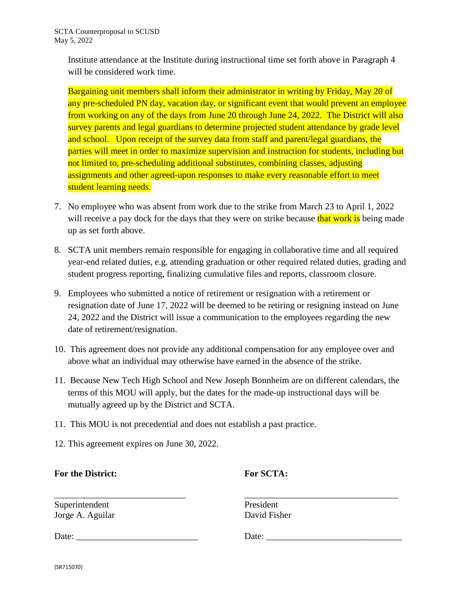Institute attendance at the Institute during instructional time set forth above in Paragraph 4 will be considered work time.

Bargaining unit members shall inform their administrator in writing by Friday, May 20 of any pre-scheduled PN day, vacation day, or significant event that would prevent an employee from working on any of the days from June 20 through June 24, 2022. The District will also survey parents and legal guardians to determine projected student attendance by grade level and school. Upon receipt of the survey data from staff and parent/legal guardians, the parties will meet in order to maximize supervision and instruction for students, including but not limited to, pre-scheduling additional substitutes, combining classes, adjusting assignments and other agreed-upon responses to make every reasonable effort to meet student learning needs.

- 7. No employee who was absent from work due to the strike from March 23 to April 1, 2022 will receive a pay dock for the days that they were on strike because that work is being made up as set forth above.
- 8. SCTA unit members remain responsible for engaging in collaborative time and all required year-end related duties, e.g. attending graduation or other required related duties, grading and student progress reporting, finalizing cumulative files and reports, classroom closure.
- 9. Employees who submitted a notice of retirement or resignation with a retirement or resignation date of June 17, 2022 will be deemed to be retiring or resigning instead on June 24, 2022 and the District will issue a communication to the employees regarding the new date of retirement/resignation.
- 10. This agreement does not provide any additional compensation for any employee over and above what an individual may otherwise have earned in the absence of the strike.
- 11. Because New Tech High School and New Joseph Bonnheim are on different calendars, the terms of this MOU will apply, but the dates for the made-up instructional days will be mutually agreed up by the District and SCTA.
- 11. This MOU is not precedential and does not establish a past practice.
- 12. This agreement expires on June 30, 2022.

## **For the District: For SCTA:**

Superintendent President Jorge A. Aguilar David Fisher

\_\_\_\_\_\_\_\_\_\_\_\_\_\_\_\_\_\_\_\_\_\_\_\_\_\_\_\_\_ \_\_\_\_\_\_\_\_\_\_\_\_\_\_\_\_\_\_\_\_\_\_\_\_\_\_\_\_\_\_\_\_\_\_

Date: \_\_\_\_\_\_\_\_\_\_\_\_\_\_\_\_\_\_\_\_\_\_\_\_\_\_\_ Date: \_\_\_\_\_\_\_\_\_\_\_\_\_\_\_\_\_\_\_\_\_\_\_\_\_\_\_\_\_\_